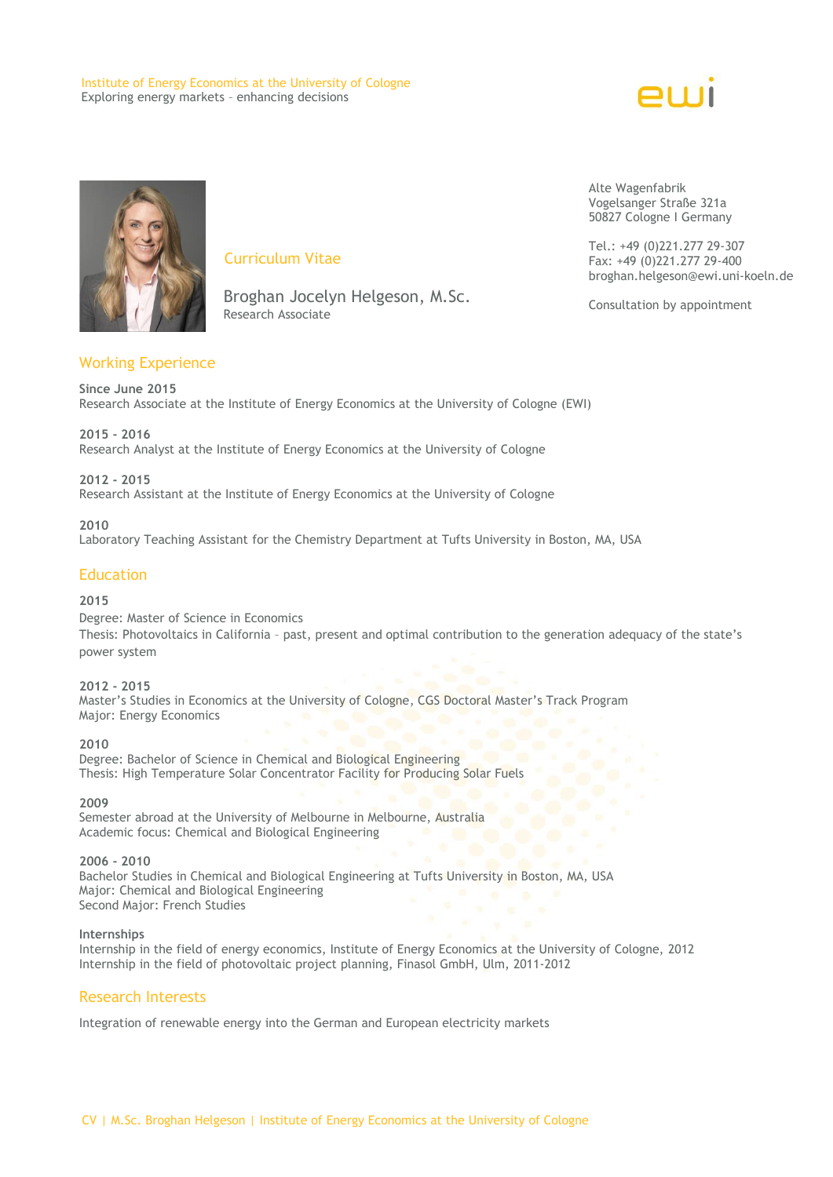#### Institute of Energy Economics at the University of Cologne Exploring energy markets – enhancing decisions





# Curriculum Vitae

 Broghan Jocelyn Helgeson, M.Sc. Research Associate

# Working Experience

**Since June 2015** Research Associate at the Institute of Energy Economics at the University of Cologne (EWI)

**2015 - 2016** Research Analyst at the Institute of Energy Economics at the University of Cologne

**2012 - 2015** Research Assistant at the Institute of Energy Economics at the University of Cologne

**2010** Laboratory Teaching Assistant for the Chemistry Department at Tufts University in Boston, MA, USA

# **Education**

#### **2015**

Degree: Master of Science in Economics Thesis: Photovoltaics in California – past, present and optimal contribution to the generation adequacy of the state's power system

## **2012 - 2015**

Master's Studies in Economics at the University of Cologne, CGS Doctoral Master's Track Program Major: Energy Economics

**2010** Degree: Bachelor of Science in Chemical and Biological Engineering Thesis: High Temperature Solar Concentrator Facility for Producing Solar Fuels<br>2009

#### **2009**

Semester abroad at the University of Melbourne in Melbourne, Australia Academic focus: Chemical and Biological Engineering

## **2006 - 2010**

Bachelor Studies in Chemical and Biological Engineering at Tufts University in Boston, MA, USA Major: Chemical and Biological Engineering Second Major: French Studies

## **Internships**

Internship in the field of energy economics, Institute of Energy Economics at the University of Cologne, 2012 Internship in the field of photovoltaic project planning, Finasol GmbH, Ulm, 2011-2012

## Research Interests

Integration of renewable energy into the German and European electricity markets

Alte Wagenfabrik Vogelsanger Straße 321a 50827 Cologne I Germany

Tel.: +49 (0)221.277 29-307 Fax: +49 (0)221.277 29-400 broghan.helgeson@ewi.uni-koeln.de

Consultation by appointment